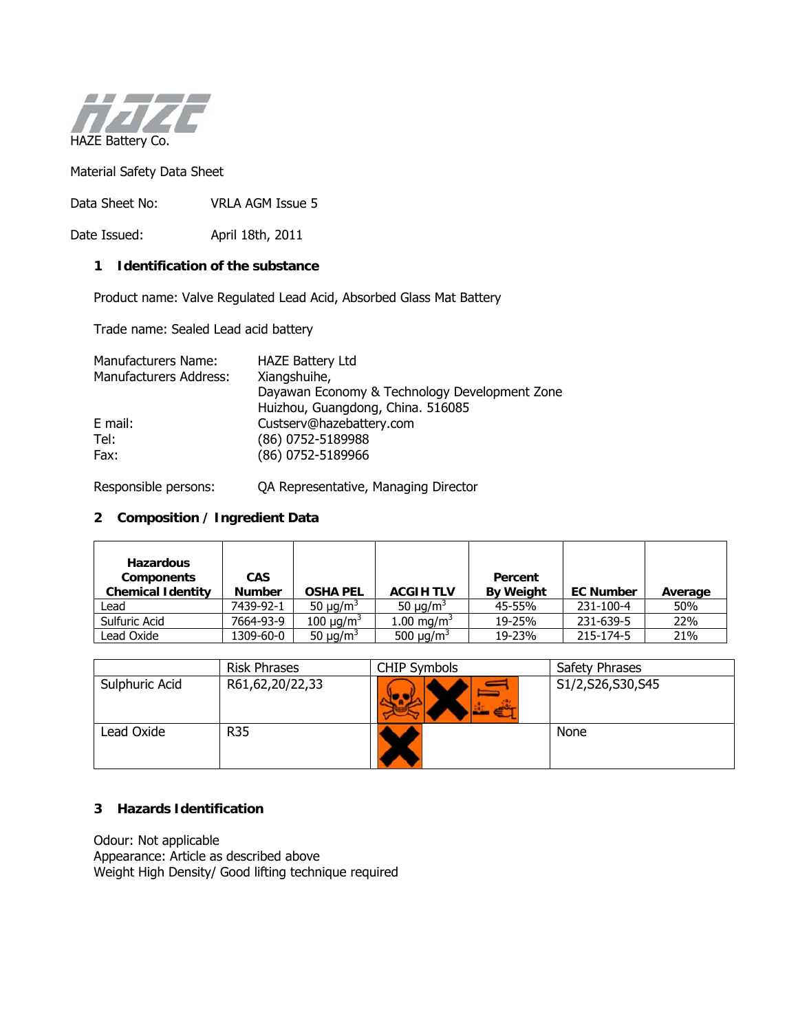

Material Safety Data Sheet

Data Sheet No: VRLA AGM Issue 5

Date Issued: April 18th, 2011

# **1 Identification of the substance**

Product name: Valve Regulated Lead Acid, Absorbed Glass Mat Battery

Trade name: Sealed Lead acid battery

| Manufacturers Name:    | <b>HAZE Battery Ltd</b>                       |
|------------------------|-----------------------------------------------|
| Manufacturers Address: | Xiangshuihe,                                  |
|                        | Dayawan Economy & Technology Development Zone |
|                        | Huizhou, Guangdong, China. 516085             |
| E mail:                | Custserv@hazebattery.com                      |
| Tel:                   | (86) 0752-5189988                             |
| Fax:                   | (86) 0752-5189966                             |

Responsible persons: QA Representative, Managing Director

# **2 Composition / Ingredient Data**

| <b>Hazardous</b><br><b>Components</b><br><b>Chemical Identity</b> | <b>CAS</b><br><b>Number</b> | <b>OSHA PEL</b>            | <b>ACGIH TLV</b>           | Percent<br><b>By Weight</b> | <b>EC Number</b> | Average |
|-------------------------------------------------------------------|-----------------------------|----------------------------|----------------------------|-----------------------------|------------------|---------|
| Lead                                                              | 7439-92-1                   | 50 $\mu$ g/m <sup>3</sup>  | 50 $\mu$ g/m <sup>3</sup>  | 45-55%                      | 231-100-4        | 50%     |
| Sulfuric Acid                                                     | 7664-93-9                   | 100 $\mu$ g/m <sup>3</sup> | 1.00 mg/m <sup>3</sup>     | 19-25%                      | 231-639-5        | 22%     |
| Lead Oxide                                                        | 1309-60-0                   | 50 $\mu$ g/m <sup>3</sup>  | 500 $\mu$ g/m <sup>3</sup> | 19-23%                      | 215-174-5        | 21%     |

|                | <b>Risk Phrases</b> | <b>CHIP Symbols</b> | Safety Phrases   |
|----------------|---------------------|---------------------|------------------|
| Sulphuric Acid | R61,62,20/22,33     |                     | S1/2,S26,S30,S45 |
| Lead Oxide     | <b>R35</b>          |                     | None             |

# **3 Hazards Identification**

Odour: Not applicable Appearance: Article as described above Weight High Density/ Good lifting technique required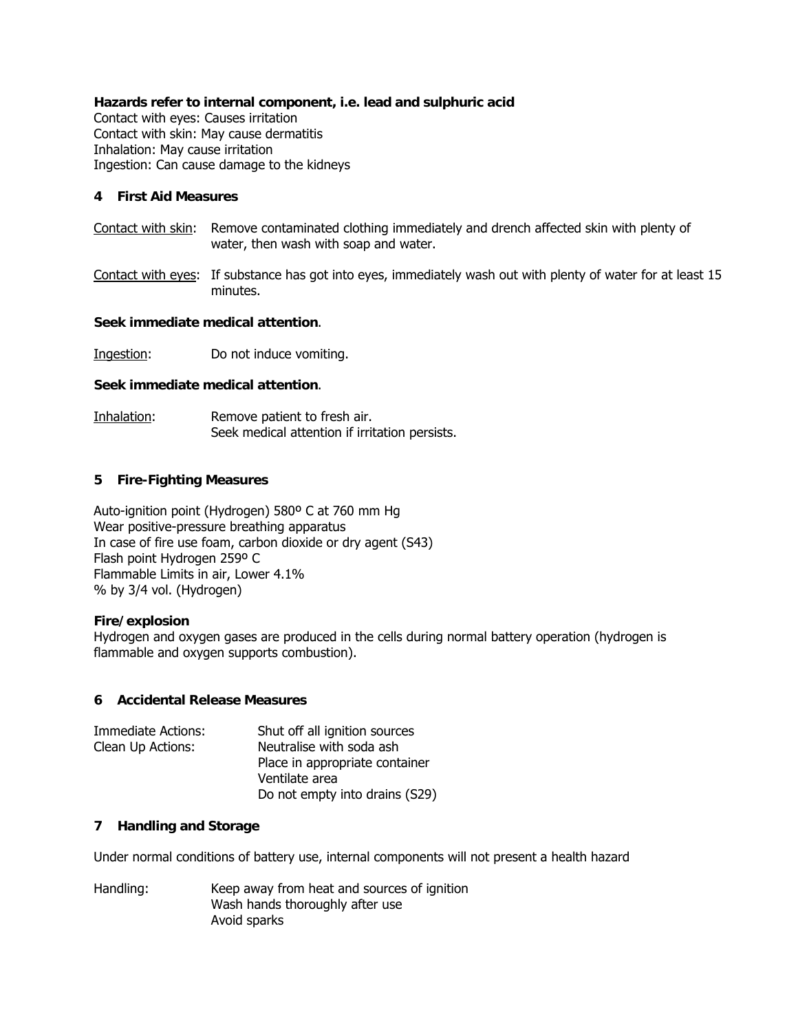# **Hazards refer to internal component, i.e. lead and sulphuric acid**

Contact with eyes: Causes irritation Contact with skin: May cause dermatitis Inhalation: May cause irritation Ingestion: Can cause damage to the kidneys

### **4 First Aid Measures**

- Contact with skin: Remove contaminated clothing immediately and drench affected skin with plenty of water, then wash with soap and water.
- Contact with eyes: If substance has got into eyes, immediately wash out with plenty of water for at least 15 minutes.

# **Seek immediate medical attention**.

Ingestion: Do not induce vomiting.

### **Seek immediate medical attention**.

Inhalation: Remove patient to fresh air. Seek medical attention if irritation persists.

# **5 Fire-Fighting Measures**

Auto-ignition point (Hydrogen) 580º C at 760 mm Hg Wear positive-pressure breathing apparatus In case of fire use foam, carbon dioxide or dry agent (S43) Flash point Hydrogen 259º C Flammable Limits in air, Lower 4.1% % by 3/4 vol. (Hydrogen)

#### **Fire/explosion**

Hydrogen and oxygen gases are produced in the cells during normal battery operation (hydrogen is flammable and oxygen supports combustion).

#### **6 Accidental Release Measures**

| Immediate Actions: | Shut off all ignition sources  |
|--------------------|--------------------------------|
| Clean Up Actions:  | Neutralise with soda ash       |
|                    | Place in appropriate container |
|                    | Ventilate area                 |
|                    | Do not empty into drains (S29) |

### **7 Handling and Storage**

Under normal conditions of battery use, internal components will not present a health hazard

Handling: Keep away from heat and sources of ignition Wash hands thoroughly after use Avoid sparks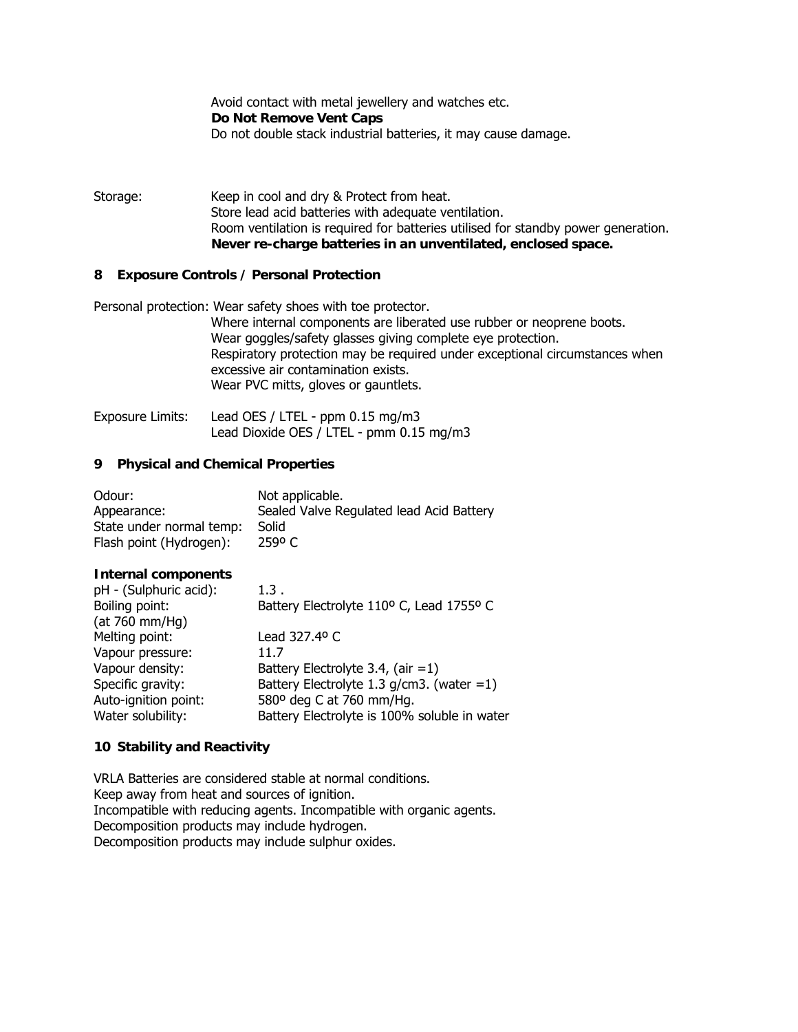Avoid contact with metal jewellery and watches etc. **Do Not Remove Vent Caps**  Do not double stack industrial batteries, it may cause damage.

Storage: Keep in cool and dry & Protect from heat. Store lead acid batteries with adequate ventilation. Room ventilation is required for batteries utilised for standby power generation. **Never re-charge batteries in an unventilated, enclosed space.**

### **8 Exposure Controls / Personal Protection**

Personal protection: Wear safety shoes with toe protector. Where internal components are liberated use rubber or neoprene boots. Wear goggles/safety glasses giving complete eye protection. Respiratory protection may be required under exceptional circumstances when excessive air contamination exists. Wear PVC mitts, gloves or gauntlets.

Exposure Limits: Lead OES / LTEL - ppm 0.15 mg/m3 Lead Dioxide OES / LTEL - pmm 0.15 mg/m3

#### **9 Physical and Chemical Properties**

| Odour:                   | Not applicable.                          |
|--------------------------|------------------------------------------|
| Appearance:              | Sealed Valve Regulated lead Acid Battery |
| State under normal temp: | Solid                                    |
| Flash point (Hydrogen):  | 259°C                                    |

#### **Internal components**

| pH - (Sulphuric acid): | 1.3.                                         |
|------------------------|----------------------------------------------|
| Boiling point:         | Battery Electrolyte 110° C, Lead 1755° C     |
| (at 760 mm/Hg)         |                                              |
| Melting point:         | Lead 327.4º C                                |
| Vapour pressure:       | 11.7                                         |
| Vapour density:        | Battery Electrolyte 3.4, (air $=1$ )         |
| Specific gravity:      | Battery Electrolyte 1.3 $g/cm3$ . (water =1) |
| Auto-ignition point:   | 580° deg C at 760 mm/Hg.                     |
| Water solubility:      | Battery Electrolyte is 100% soluble in water |

#### **10 Stability and Reactivity**

VRLA Batteries are considered stable at normal conditions. Keep away from heat and sources of ignition. Incompatible with reducing agents. Incompatible with organic agents. Decomposition products may include hydrogen. Decomposition products may include sulphur oxides.